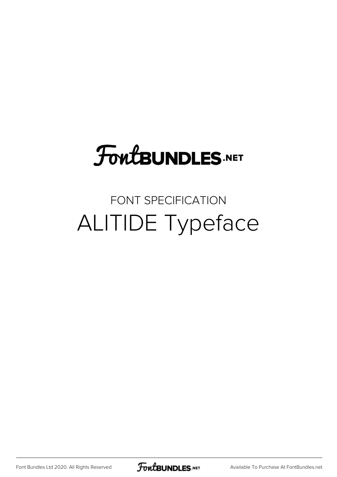# **FoutBUNDLES.NET**

### FONT SPECIFICATION ALITIDE Typeface

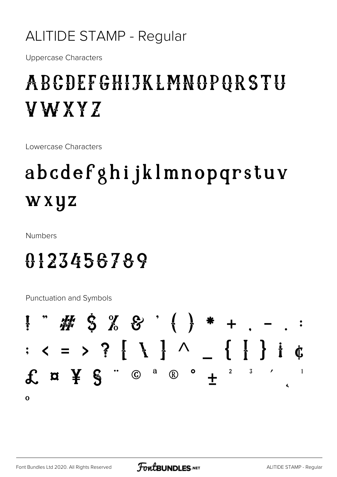#### **ALITIDE STAMP - Regular**

**Uppercase Characters** 

### ABCDEFGHIJKLMNOPQRSTU YWXYZ

Lowercase Characters

## abcdefghijklmnopqrstuv wxyz

**Numbers** 

### 0123456789

**Punctuation and Symbols** 

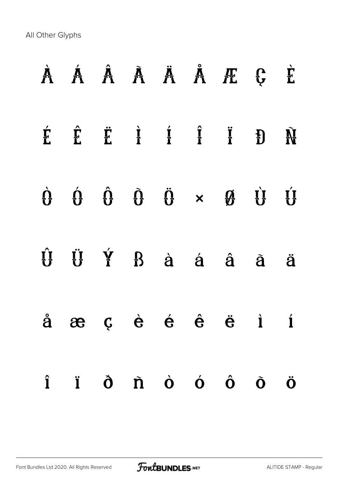All Other Glyphs

| À Á Â À À Ä Å Æ Ç È                                                                                                                                              |  |  |  |   |
|------------------------------------------------------------------------------------------------------------------------------------------------------------------|--|--|--|---|
| $\hat{E}$ $\hat{E}$ $\hat{E}$ $\hat{I}$ $\hat{I}$ $\hat{I}$ $\hat{I}$ $\hat{B}$ $\hat{M}$                                                                        |  |  |  |   |
| $\dot{\theta} \quad \dot{\theta} \quad \dot{\theta} \quad \ddot{\theta} \quad \dot{\theta} \quad \star \quad \dot{\theta} \quad \dot{\theta} \quad \dot{\theta}$ |  |  |  |   |
| $\hat{U}$ $\ddot{U}$ $\dot{Y}$ $B$ $\dot{a}$ $\dot{a}$ $\dot{a}$ $\ddot{a}$                                                                                      |  |  |  | ä |
| $\hat{a}$ æ ç è é $\hat{e}$ ë i í                                                                                                                                |  |  |  |   |
| $\hat{\mathbf{i}}$ $\hat{\mathbf{i}}$ $\hat{\mathbf{o}}$ $\hat{\mathbf{n}}$ $\hat{\mathbf{o}}$ $\hat{\mathbf{o}}$ $\hat{\mathbf{o}}$ $\hat{\mathbf{o}}$          |  |  |  | Ö |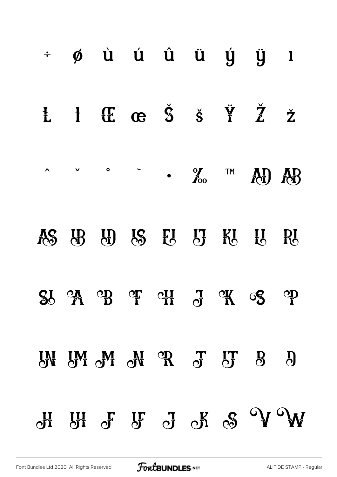| $\div$       |  |  |  | $\phi$ ù ú û ü ý ÿ l                                                                                                                                        |                      |
|--------------|--|--|--|-------------------------------------------------------------------------------------------------------------------------------------------------------------|----------------------|
| $\mathbf{L}$ |  |  |  | $1$ $4$ $6$ $5$ $8$ $7$ $7$                                                                                                                                 | $\check{\mathbf{Z}}$ |
|              |  |  |  | $\begin{array}{ccccccc}\n\wedge & \vee & \circ & \circ & \cdot & \bullet & \circ \\ \wedge & \wedge & \circ & \circ & \bullet & \circ & \circ\n\end{array}$ |                      |
|              |  |  |  | AC UB UD LC EU LT KU HU RU                                                                                                                                  |                      |
|              |  |  |  | $30 \t M \t D$ or our dreams of $\mathcal{L}$                                                                                                               |                      |
|              |  |  |  | <b>EN EM ON OR J ET 8 8</b>                                                                                                                                 |                      |
|              |  |  |  | $\mathbb{C}^n$ or $\mathbb{C}^n$ or $\mathbb{C}^n$ or $\mathbb{C}^n$ or $\mathbb{C}^n$                                                                      |                      |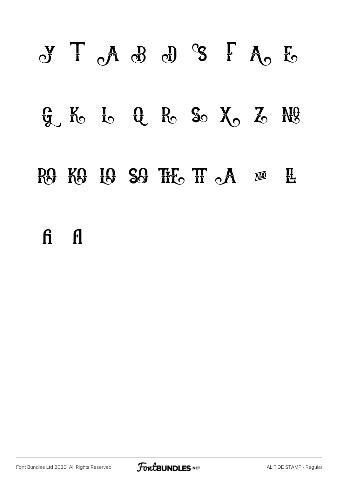# Y T A B D S F A E  $G$ ,  $K_0$   $I_0$   $G$   $R_0$   $S_0$   $X_0$   $Z_0$   $R_0$ RG KG IG SG THE TI A M H fi fl

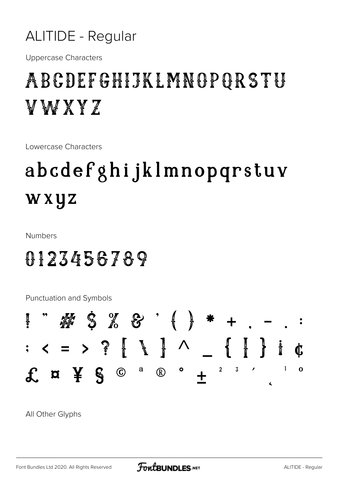#### **ALITIDE - Regular**

**Uppercase Characters** 

### ABCDEFGHIJKLMNOPQRSTU V W X Y Z

Lowercase Characters

## abcdefghijklmnopqrstuv wxyz

**Numbers** 

### 8123456789

**Punctuation and Symbols** 



All Other Glyphs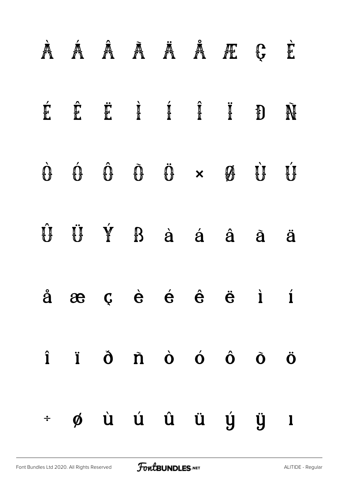|                      | À Á Â Ã Ä Ä Æ Ç                                                                                                                                                                     |  |  |                                                                                                                                                                                        |   | È                     |
|----------------------|-------------------------------------------------------------------------------------------------------------------------------------------------------------------------------------|--|--|----------------------------------------------------------------------------------------------------------------------------------------------------------------------------------------|---|-----------------------|
| É                    | Ê                                                                                                                                                                                   |  |  | $\ddot{\mathbf{r}}$ $\ddot{\mathbf{r}}$ $\ddot{\mathbf{r}}$ $\ddot{\mathbf{r}}$ $\ddot{\mathbf{r}}$ $\ddot{\mathbf{r}}$ $\ddot{\mathbf{r}}$ $\ddot{\mathbf{r}}$                        |   | Ñ                     |
|                      | $\begin{matrix}\dot{\mathbf{G}}\\ \mathbf{G}\end{matrix}\qquad\begin{matrix}\dot{\mathbf{G}}\\ \mathbf{G}\end{matrix}\qquad\begin{matrix}\dot{\mathbf{G}}\\ \mathbf{G}\end{matrix}$ |  |  | $\begin{matrix}\hat{\mathbf{U}} & \hat{\mathbf{U}} & \mathbf{W} & \hat{\mathbf{U}}\end{matrix} \quad \begin{matrix}\hat{\mathbf{U}} & \hat{\mathbf{U}} & \hat{\mathbf{U}}\end{matrix}$ |   | $\mathbf{u}^{\prime}$ |
|                      | Û Ü Ý                                                                                                                                                                               |  |  | B à á â                                                                                                                                                                                | à | ä                     |
|                      | $\hat{a}$ æ ç è é $\hat{e}$ ë i í                                                                                                                                                   |  |  |                                                                                                                                                                                        |   |                       |
|                      | $\hat{\mathbf{i}}$ $\hat{\mathbf{i}}$ $\hat{\mathbf{0}}$ $\hat{\mathbf{n}}$ $\hat{\mathbf{o}}$ $\hat{\mathbf{o}}$ $\hat{\mathbf{o}}$ $\hat{\mathbf{o}}$ $\hat{\mathbf{o}}$          |  |  |                                                                                                                                                                                        |   |                       |
| $\frac{1}{\sqrt{2}}$ |                                                                                                                                                                                     |  |  | øù ú û ü ý ÿ ı                                                                                                                                                                         |   |                       |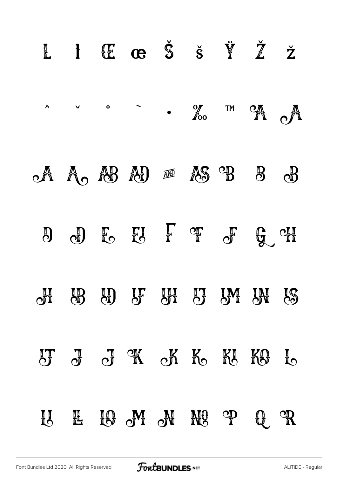| L l CE G Š Š Ÿ Ž Ž                                                                                                                                                                                                        |                |  |              |                                        |
|---------------------------------------------------------------------------------------------------------------------------------------------------------------------------------------------------------------------------|----------------|--|--------------|----------------------------------------|
| $\begin{array}{ccccc}\n\wedge & \vee & \circ & \circ & \nearrow & \bullet & \bullet & \bullet\n\end{array}$ of the $\begin{array}{ccccc}\n\mathcal{M} & \mathcal{O}_{\mathbb{A}} & \mathcal{O}_{\mathbb{A}}\n\end{array}$ |                |  |              |                                        |
| $\circ$ A $\circ$ A $\circ$ A $\circ$ A $\circ$ B $\circ$ B $\circ$                                                                                                                                                       |                |  |              |                                        |
| $\begin{array}{ccccccccccccc} 0 & 0 & 0 & \end{array}$ is the state of $\begin{array}{ccccc} 0 & 0 & \end{array}$                                                                                                         |                |  |              |                                        |
| di de di di di di di di de                                                                                                                                                                                                |                |  |              |                                        |
| UT J J A K K K KO L                                                                                                                                                                                                       |                |  |              |                                        |
| IJ H                                                                                                                                                                                                                      | IS ON NU NU OP |  | $\mathbb{C}$ | $\mathbb{C}^{\mathbb{C}}_{\mathbf{R}}$ |